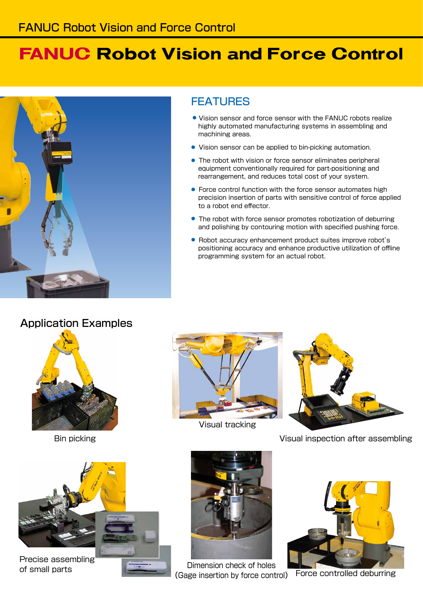## **FANUC Robot Vision and Force Control**

FEATURES

machining areas.

to a robot end effector.

● Vision sensor and force sensor with the FANUC robots realize highly automated manufacturing systems in assembling and

● Vision sensor can be applied to bin-picking automation.

● The robot with vision or force sensor eliminates peripheral equipment conventionally required for part-positioning and rearrangement, and reduces total cost of your system.

● Force control function with the force sensor automates high precision insertion of parts with sensitive control of force applied

● The robot with force sensor promotes robotization of deburring and polishing by contouring motion with specified pushing force.

● Robot accuracy enhancement product suites improve robot's positioning accuracy and enhance productive utilization of offline

programming system for an actual robot.



#### Application Examples



Bin picking



Precise assembling



Visual tracking



Visual inspection after assembling



of small parts **Dimension** check of holes (Gage insertion by force control) Force controlled deburring

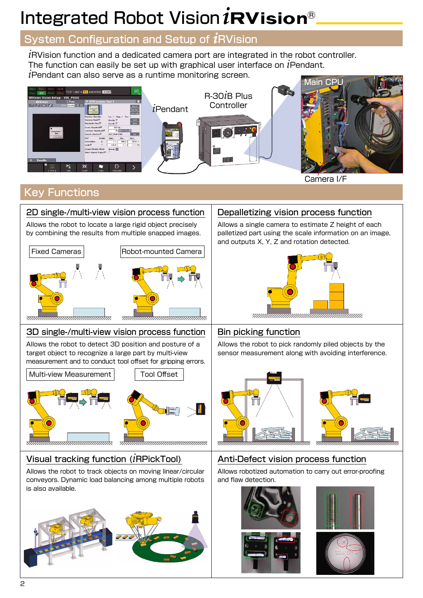# Integrated Robot Vision *i*RVision®

### System Configuration and Setup of *i*RVision

*i*RVision function and a dedicated camera port are integrated in the robot controller. The function can easily be set up with graphical user interface on *i*Pendant. *i*Pendant can also serve as a runtime monitoring screen.



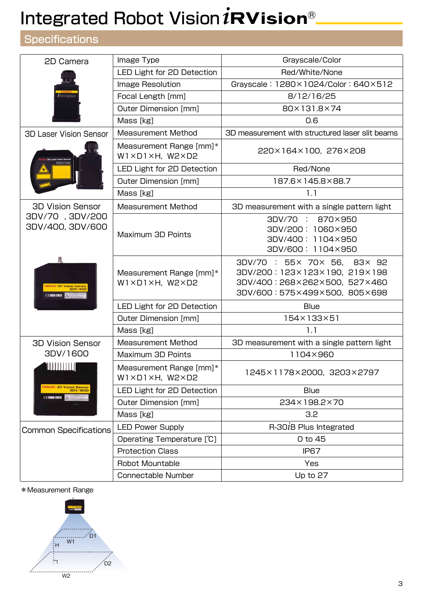## Integrated Robot Vision *i*RVision®

### **Specifications**

| 2D Camera                                                                                                                                                  | Image Type                                                          | Grayscale/Color                                                                                                             |  |  |
|------------------------------------------------------------------------------------------------------------------------------------------------------------|---------------------------------------------------------------------|-----------------------------------------------------------------------------------------------------------------------------|--|--|
|                                                                                                                                                            | LED Light for 2D Detection                                          | Red/White/None                                                                                                              |  |  |
|                                                                                                                                                            | Image Resolution                                                    | Grayscale: 1280×1024/Color: 640×512                                                                                         |  |  |
| <b>RW</b> basks                                                                                                                                            | Focal Length [mm]                                                   | 8/12/16/25                                                                                                                  |  |  |
|                                                                                                                                                            | <b>Outer Dimension [mm]</b>                                         | 80×131.8×74                                                                                                                 |  |  |
|                                                                                                                                                            | Mass [kg]                                                           | 0.6                                                                                                                         |  |  |
| <b>3D Laser Vision Sensor</b>                                                                                                                              | <b>Measurement Method</b>                                           | 3D measurement with structured laser slit beams                                                                             |  |  |
|                                                                                                                                                            | Measurement Range [mm]*<br>$W1 \times D1 \times H$ , W2 $\times D2$ | 220×164×100, 276×208                                                                                                        |  |  |
|                                                                                                                                                            | LED Light for 2D Detection                                          | Red/None                                                                                                                    |  |  |
|                                                                                                                                                            | Outer Dimension [mm]                                                | 187.6×145.8×88.7                                                                                                            |  |  |
|                                                                                                                                                            | Mass [kg]                                                           | 1.1                                                                                                                         |  |  |
| <b>3D Vision Sensor</b><br>3DV/70, 3DV/200<br>3DV/400, 3DV/600<br>鼡<br><b>ANUC 3D Vision Senso</b><br>$C \in \mathbb{R}$ and $\mathbb{R}$ and $\mathbb{R}$ | <b>Measurement Method</b>                                           | 3D measurement with a single pattern light                                                                                  |  |  |
|                                                                                                                                                            | Maximum 3D Points                                                   | 3DV/70 : 870×950<br>3DV/200: 1060×950<br>3DV/400: 1104×950<br>3DV/600: 1104×950                                             |  |  |
|                                                                                                                                                            | Measurement Range [mm]*<br>$W1 \times D1 \times H$ , W2 $\times D2$ | 3DV/70 : 55× 70× 56, 83× 92<br>3DV/200:123×123×190, 219×198<br>3DV/400:268×262×500,527×460<br>3DV/600: 575×499×500, 805×698 |  |  |
|                                                                                                                                                            | LED Light for 2D Detection                                          | <b>Blue</b>                                                                                                                 |  |  |
|                                                                                                                                                            | Outer Dimension [mm]                                                | 154×133×51                                                                                                                  |  |  |
|                                                                                                                                                            | Mass [kg]                                                           | 1.1                                                                                                                         |  |  |
| <b>3D Vision Sensor</b>                                                                                                                                    | <b>Measurement Method</b>                                           | 3D measurement with a single pattern light                                                                                  |  |  |
| 3DV/1600                                                                                                                                                   | Maximum 3D Points                                                   | 1104×960                                                                                                                    |  |  |
| <b>ANITI III III</b>                                                                                                                                       | Measurement Range [mm]*<br>$W1 \times D1 \times H$ , W2 $\times D2$ | 1245×1178×2000, 3203×2797                                                                                                   |  |  |
| FANUC 3D Vision Sensor<br>3DV/1600                                                                                                                         | LED Light for 2D Detection                                          | <b>Blue</b>                                                                                                                 |  |  |
| <b>CERTIFICATE</b><br>$\triangle$                                                                                                                          | Outer Dimension [mm]                                                | 234×198.2×70                                                                                                                |  |  |
|                                                                                                                                                            | Mass [kg]                                                           | 3.2                                                                                                                         |  |  |
| <b>Common Specifications</b>                                                                                                                               | <b>LED Power Supply</b>                                             | R-301B Plus Integrated                                                                                                      |  |  |
|                                                                                                                                                            | Operating Temperature [°C]                                          | 0 to 45                                                                                                                     |  |  |
|                                                                                                                                                            | <b>Protection Class</b>                                             | IP67                                                                                                                        |  |  |
|                                                                                                                                                            | Robot Mountable                                                     | Yes                                                                                                                         |  |  |
|                                                                                                                                                            | <b>Connectable Number</b>                                           | Up to 27                                                                                                                    |  |  |

#### \*Measurement Range

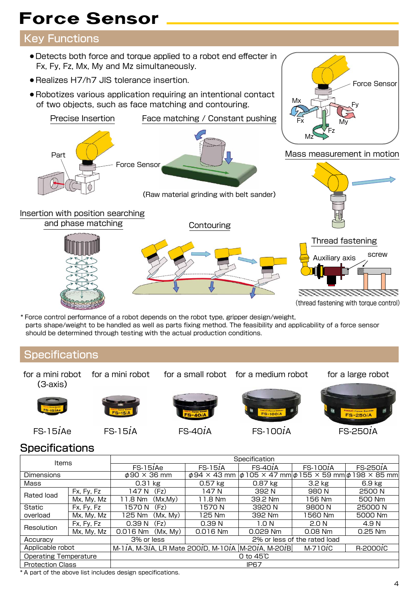## Force Sensor

### Key Functions

- Detects both force and torque applied to a robot end effecter in Fx, Fy, Fz, Mx, My and Mz simultaneously.
- Realizes H7/h7 JIS tolerance insertion.
- Robotizes various application requiring an intentional contact of two objects, such as face matching and contouring.



\* Force control performance of a robot depends on the robot type, gripper design/weight, parts shape/weight to be handled as well as parts fixing method. The feasibility and applicability of a force sensor should be determined through testing with the actual production conditions.

### **Specifications**

for a small robot for a medium robot for a large robot for a mini robot for a mini robot (3-axis) MNUC Force Sent **FANUG Force Sense** 



FS-15*i*Ae FS-15*i*<sup>A</sup> FS-40*i*<sup>A</sup> FS-100*i*<sup>A</sup> FS-250*i*<sup>A</sup>



Force Sensor

Fy

Mx

### **Specifications**

| Items                        |                                             | Specification                                                              |                              |           |                  |                                                                               |
|------------------------------|---------------------------------------------|----------------------------------------------------------------------------|------------------------------|-----------|------------------|-------------------------------------------------------------------------------|
|                              |                                             | $FS-15iAe$                                                                 | $FS-15iA$                    | $FS-40iA$ | $FS-100iA$       | FS-2501A                                                                      |
| <b>Dimensions</b>            |                                             | $\phi$ 90 $\times$ 36 mm                                                   |                              |           |                  | $\phi$ 94 × 43 mm $ \phi$ 105 × 47 mm $ \phi$ 155 × 59 mm $ \phi$ 198 × 85 mm |
| Mass                         |                                             | $0.31$ kg                                                                  | $0.57$ kg                    | $0.87$ kg | 3.2 kg           | 6.9 kg                                                                        |
| Rated load                   | Fx, Fy, Fz                                  | (Fz)<br>147 N                                                              | 147 N                        | 392 N     | 980 N            | 2500 N                                                                        |
|                              | Mx, My, Mz                                  | (Mx, My)<br>11.8 Nm                                                        | 11.8 Nm                      | 39.2 Nm   | 156 Nm           | 500 Nm                                                                        |
| Static                       | Fx, Fy, Fz                                  | (Fz)<br>1570 N                                                             | 1570 N                       | 3920 N    | 9800 N           | 25000N                                                                        |
| overload                     | Mx, My, Mz                                  | 125 Nm<br>(Mx, My)                                                         | 125 Nm                       | 392 Nm    | 1560 Nm          | 5000 Nm                                                                       |
| Resolution                   | Fx, Fy, Fz                                  | (Fz)<br>0.39 N                                                             | 0.39 <sub>N</sub>            | 1.O N     | 2.0 <sub>N</sub> | 4.9 N                                                                         |
|                              | Mx, My, Mz                                  | 0.016 Nm<br>(Mx, My)                                                       | 0.016 Nm                     | 0.029 Nm  | $0.08$ Nm        | $0.25$ Nm                                                                     |
| 3% or less<br>Accuracy       |                                             |                                                                            | 2% or less of the rated load |           |                  |                                                                               |
| Applicable robot             |                                             | M-1 $i$ A, M-3 $i$ A, LR Mate 200 $i$ D, M-10 $i$ A M-20 $i$ A, M-20 $i$ B |                              |           | $M-710iC$        | $R-2000iC$                                                                    |
| <b>Operating Temperature</b> |                                             |                                                                            | 0 to $45^\circ$              |           |                  |                                                                               |
|                              | IP <sub>67</sub><br><b>Protection Class</b> |                                                                            |                              |           |                  |                                                                               |

\* A part of the above list includes design specifications.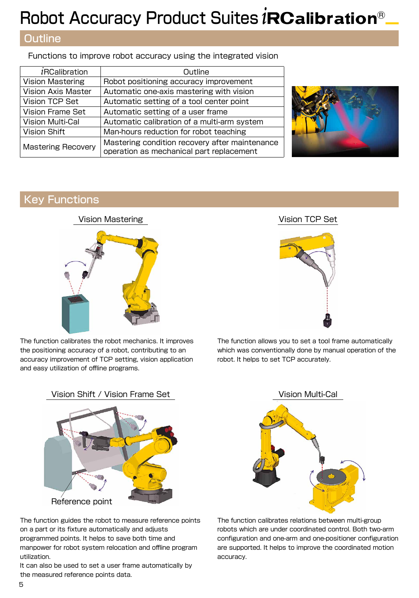## Robot Accuracy Product Suites *i*RCalibration®

### **Outline**

Functions to improve robot accuracy using the integrated vision

| <i>i</i> RCalibration     | Outline                                                                                    |  |  |  |
|---------------------------|--------------------------------------------------------------------------------------------|--|--|--|
| <b>Vision Mastering</b>   | Robot positioning accuracy improvement                                                     |  |  |  |
| <b>Vision Axis Master</b> | Automatic one-axis mastering with vision                                                   |  |  |  |
| Vision TCP Set            | Automatic setting of a tool center point                                                   |  |  |  |
| <b>Vision Frame Set</b>   | Automatic setting of a user frame                                                          |  |  |  |
| <b>Vision Multi-Cal</b>   | Automatic calibration of a multi-arm system                                                |  |  |  |
| Vision Shift              | Man-hours reduction for robot teaching                                                     |  |  |  |
| <b>Mastering Recovery</b> | Mastering condition recovery after maintenance<br>operation as mechanical part replacement |  |  |  |



#### Key Functions

#### Vision Mastering The Vision TCP Set



The function calibrates the robot mechanics. It improves the positioning accuracy of a robot, contributing to an accuracy improvement of TCP setting, vision application and easy utilization of offline programs.



The function allows you to set a tool frame automatically which was conventionally done by manual operation of the robot. It helps to set TCP accurately.



The function guides the robot to measure reference points on a part or its fixture automatically and adjusts programmed points. It helps to save both time and manpower for robot system relocation and offline program utilization.

It can also be used to set a user frame automatically by the measured reference points data.



The function calibrates relations between multi-group robots which are under coordinated control. Both two-arm configuration and one-arm and one-positioner configuration are supported. It helps to improve the coordinated motion accuracy.

Vision Shift / Vision Frame Set Vision Multi-Cal